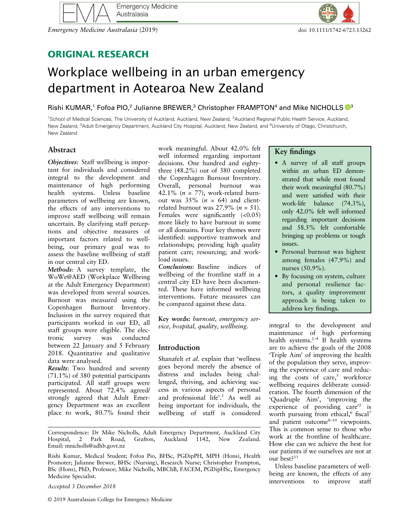Emergency Medicine Australasia (2019) doi: 10.1111/1742-6723.13262

## ORIGINAL RESEARCH

# Workplace wellbeing in an urban emergency department in Aotearoa New Zealand

Rishi KUMAR,<sup>1</sup> Fofoa PIO,<sup>2</sup> Julianne BREWER,<sup>[3](https://orcid.org/0000-0001-8032-1493)</sup> Christopher FRAMPTON<sup>4</sup> and Mike NICHOLLS  $\bullet$ <sup>3</sup>

<sup>1</sup>School of Medical Sciences, The University of Auckland, Auckland, New Zealand, <sup>2</sup>Auckland Regional Public Health Service, Auckland, New Zealand, <sup>3</sup>Adult Emergency Department, Auckland City Hospital, Auckland, New Zealand, and <sup>4</sup>University of Otago, Christchurch, New Zealand

## Abstract

Objectives: Staff wellbeing is important for individuals and considered integral to the development and maintenance of high performing health systems. Unless baseline parameters of wellbeing are known, the effects of any interventions to improve staff wellbeing will remain uncertain. By clarifying staff perceptions and objective measures of important factors related to wellbeing, our primary goal was to assess the baseline wellbeing of staff in our central city ED.

Methods: A survey template, the WoWe@AED (Workplace Wellbeing at the Adult Emergency Department) was developed from several sources. Burnout was measured using the Copenhagen Burnout Inventory. Inclusion in the survey required that participants worked in our ED, all staff groups were eligible. The electronic survey was conducted between 22 January and 5 February 2018. Quantitative and qualitative data were analysed.

Results: Two hundred and seventy (71.1%) of 380 potential participants participated. All staff groups were represented. About 72.4% agreed/ strongly agreed that Adult Emergency Department was an excellent place to work, 80.7% found their work meaningful. About 42.0% felt well informed regarding important decisions. One hundred and eightythree (48.2%) out of 380 completed the Copenhagen Burnout Inventory. Overall, personal burnout was 42.1% ( $n = 77$ ), work-related burnout was  $35\%$  ( $n = 64$ ) and clientrelated burnout was  $27.9\%$  ( $n = 51$ ). Females were significantly  $( $0.05$ )$ more likely to have burnout in some or all domains. Four key themes were identified: supportive teamwork and relationships; providing high quality patient care; resourcing; and workload issues.

Conclusions: Baseline indices of wellbeing of the frontline staff in a central city ED have been documented. These have informed wellbeing interventions. Future measures can be compared against these data.

Key words: burnout, emergency service, hospital, quality, wellbeing.

## Introduction

Shanafelt et al. explain that 'wellness goes beyond merely the absence of distress and includes being challenged, thriving, and achieving success in various aspects of personal and professional life'. <sup>1</sup> As well as being important for individuals, the wellbeing of staff is considered

Accepted 3 December 2018



## Key findings

- A survey of all staff groups within an urban ED demonstrated that while most found their work meaningful (80.7%) and were satisfied with their work-life balance (74.3%), only 42.0% felt well informed regarding important decisions and 58.5% felt comfortable bringing up problems or tough issues.
- Personal burnout was highest among females (47.9%) and nurses (50.9%).
- By focusing on system, culture and personal resilience factors, a quality improvement approach is being taken to address key findings.

integral to the development and maintenance of high performing health systems.2–<sup>4</sup> If health systems are to achieve the goals of the 2008 'Triple Aim' of improving the health of the population they serve, improving the experience of care and reducing the costs of care, $5$  workforce wellbeing requires deliberate consideration. The fourth dimension of the 'Quadruple Aim', 'improving the experience of providing care<sup>2</sup> is worth pursuing from ethical,<sup>6</sup> fiscal<sup>7</sup> and patient outcome $8-10$  viewpoints. This is common sense to those who work at the frontline of healthcare. How else can we achieve the best for our patients if we ourselves are not at our best?<sup>11</sup>

Unless baseline parameters of wellbeing are known, the effects of any interventions to improve staff

Correspondence: Dr Mike Nicholls, Adult Emergency Department, Auckland City Hospital, 2 Park Road, Grafton, Auckland 1142, New Zealand. Email: [mnicholls@adhb.govt.nz](mailto:mnicholls@adhb.govt.nz)

Rishi Kumar, Medical Student; Fofoa Pio, BHSc, PGDipPH, MPH (Hons), Health Promoter; Julianne Brewer, BHSc (Nursing), Research Nurse; Christopher Frampton, BSc (Hons), PhD, Professor; Mike Nicholls, MBChB, FACEM, PGDipHSc, Emergency Medicine Specialist.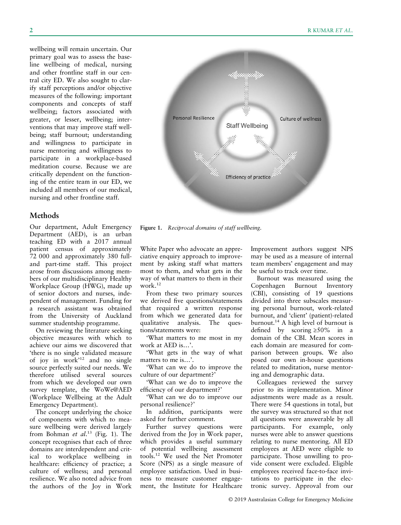wellbeing will remain uncertain. Our primary goal was to assess the baseline wellbeing of medical, nursing and other frontline staff in our central city ED. We also sought to clarify staff perceptions and/or objective measures of the following: important components and concepts of staff wellbeing; factors associated with greater, or lesser, wellbeing; interventions that may improve staff wellbeing; staff burnout; understanding and willingness to participate in nurse mentoring and willingness to participate in a workplace-based meditation course. Because we are critically dependent on the functioning of the entire team in our ED, we included all members of our medical, nursing and other frontline staff.

#### **Methods**

Our department, Adult Emergency Department (AED), is an urban teaching ED with a 2017 annual patient census of approximately 72 000 and approximately 380 fulland part-time staff. This project arose from discussions among members of our multidisciplinary Healthy Workplace Group (HWG), made up of senior doctors and nurses, independent of management. Funding for a research assistant was obtained from the University of Auckland summer studentship programme.

On reviewing the literature seeking objective measures with which to achieve our aims we discovered that 'there is no single validated measure of joy in work' <sup>12</sup> and no single source perfectly suited our needs. We therefore utilised several sources from which we developed our own survey template, the WoWe@AED (Workplace Wellbeing at the Adult Emergency Department).

The concept underlying the choice of components with which to measure wellbeing were derived largely from Bohman et al.<sup>13</sup> (Fig. 1). The concept recognises that each of three domains are interdependent and critical to workplace wellbeing in healthcare: efficiency of practice; a culture of wellness; and personal resilience. We also noted advice from the authors of the Joy in Work



Figure 1. Reciprocal domains of staff wellbeing.

White Paper who advocate an appreciative enquiry approach to improvement by asking staff what matters most to them, and what gets in the way of what matters to them in their work.12

From these two primary sources we derived five questions/statements that required a written response from which we generated data for qualitative analysis. The questions/statements were:

'What matters to me most in my work at AED is…'.

'What gets in the way of what matters to me is…'.

'What can we do to improve the culture of our department?'

'What can we do to improve the efficiency of our department?'

'What can we do to improve our personal resilience?'

In addition, participants were asked for further comment.

Further survey questions were derived from the Joy in Work paper, which provides a useful summary of potential wellbeing assessment tools.<sup>12</sup> We used the Net Promoter Score (NPS) as a single measure of employee satisfaction. Used in business to measure customer engagement, the Institute for Healthcare

Improvement authors suggest NPS may be used as a measure of internal team members' engagement and may be useful to track over time.

Burnout was measured using the Copenhagen Burnout Inventory (CBI), consisting of 19 questions divided into three subscales measuring personal burnout, work-related burnout, and 'client' (patient)-related burnout.<sup>14</sup> A high level of burnout is defined by scoring  $\geq 50\%$  in a domain of the CBI. Mean scores in each domain are measured for comparison between groups. We also posed our own in-house questions related to meditation, nurse mentoring and demographic data.

Colleagues reviewed the survey prior to its implementation. Minor adjustments were made as a result. There were 54 questions in total, but the survey was structured so that not all questions were answerable by all participants. For example, only nurses were able to answer questions relating to nurse mentoring. All ED employees at AED were eligible to participate. Those unwilling to provide consent were excluded. Eligible employees received face-to-face invitations to participate in the electronic survey. Approval from our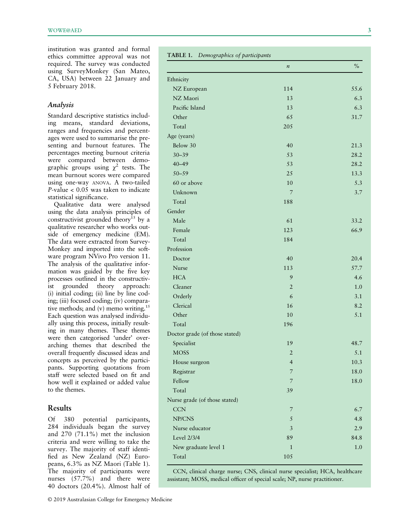institution was granted and formal ethics committee approval was not required. The survey was conducted using SurveyMonkey (San Mateo, CA, USA) between 22 January and 5 February 2018.

#### Analysis

Standard descriptive statistics including means, standard deviations, ranges and frequencies and percentages were used to summarise the presenting and burnout features. The percentages meeting burnout criteria were compared between demographic groups using  $\chi^2$  tests. The mean burnout scores were compared using one-way ANOVA. A two-tailed P-value < 0.05 was taken to indicate statistical significance.

Qualitative data were analysed using the data analysis principles of constructivist grounded theory<sup>15</sup> by a qualitative researcher who works outside of emergency medicine (EM). The data were extracted from Survey-Monkey and imported into the software program NVivo Pro version 11. The analysis of the qualitative information was guided by the five key processes outlined in the constructivist grounded theory approach: (i) initial coding; (ii) line by line coding; (iii) focused coding; (iv) comparative methods; and (v) memo writing.<sup>15</sup> Each question was analysed individually using this process, initially resulting in many themes. These themes were then categorised 'under' overarching themes that described the overall frequently discussed ideas and concepts as perceived by the participants. Supporting quotations from staff were selected based on fit and how well it explained or added value to the themes.

#### Results

Of 380 potential participants, 284 individuals began the survey and 270 (71.1%) met the inclusion criteria and were willing to take the survey. The majority of staff identified as New Zealand (NZ) Europeans, 6.3% as NZ Maori (Table 1). The majority of participants were nurses (57.7%) and there were 40 doctors (20.4%). Almost half of

#### TABLE 1. Demographics of participants

|                                | $\boldsymbol{n}$ | $\%$ |
|--------------------------------|------------------|------|
| Ethnicity                      |                  |      |
| NZ European                    | 114              | 55.6 |
| NZ Maori                       | 13               | 6.3  |
| Pacific Island                 | 13               | 6.3  |
| Other                          | 65               | 31.7 |
| Total                          | 205              |      |
| Age (years)                    |                  |      |
| Below 30                       | 40               | 21.3 |
| $30 - 39$                      | 53               | 28.2 |
| $40 - 49$                      | 53               | 28.2 |
| $50 - 59$                      | 25               | 13.3 |
| 60 or above                    | 10               | 5.3  |
| Unknown                        | 7                | 3.7  |
| Total                          | 188              |      |
| Gender                         |                  |      |
| Male                           | 61               | 33.2 |
| Female                         | 123              | 66.9 |
| Total                          | 184              |      |
| Profession                     |                  |      |
| Doctor                         | 40               | 20.4 |
| Nurse                          | 113              | 57.7 |
| <b>HCA</b>                     | 9                | 4.6  |
| Cleaner                        | $\overline{2}$   | 1.0  |
| Orderly                        | 6                | 3.1  |
| Clerical                       | 16               | 8.2  |
| Other                          | 10               | 5.1  |
| Total                          | 196              |      |
| Doctor grade (of those stated) |                  |      |
| Specialist                     | 19               | 48.7 |
| <b>MOSS</b>                    | $\overline{c}$   | 5.1  |
| House surgeon                  | $\overline{4}$   | 10.3 |
| Registrar                      | 7                | 18.0 |
| Fellow                         | 7                | 18.0 |
| Total                          | 39               |      |
| Nurse grade (of those stated)  |                  |      |
| <b>CCN</b>                     | 7                | 6.7  |
| NP/CNS                         | $\sqrt{5}$       | 4.8  |
| Nurse educator                 | $\mathfrak{Z}$   | 2.9  |
| Level 2/3/4                    | 89               | 84.8 |
| New graduate level 1           | $\mathbf{1}$     | 1.0  |
| Total                          | 105              |      |

CCN, clinical charge nurse; CNS, clinical nurse specialist; HCA, healthcare assistant; MOSS, medical officer of special scale; NP, nurse practitioner.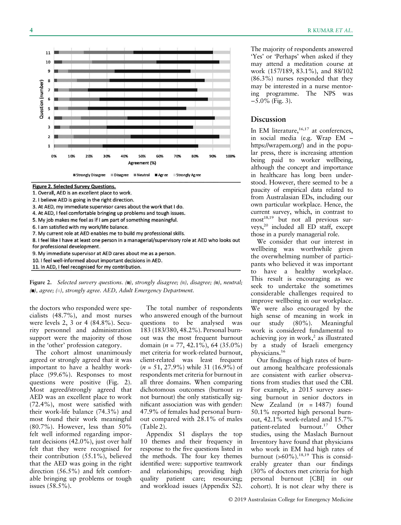

R KUMAR ET AL.

The majority of respondents answered 'Yes' or 'Perhaps' when asked if they may attend a meditation course at work (157/189, 83.1%), and 88/102 (86.3%) nurses responded that they may be interested in a nurse mentoring programme. The NPS was −5.0% (Fig. 3).

## Discussion

In EM literature, $16,17$  at conferences, in social media (e.g. Wrap EM – [https://wrapem.org/\)](https://wrapem.org/) and in the popular press, there is increasing attention being paid to worker wellbeing, although the concept and importance in healthcare has long been understood. However, there seemed to be a paucity of empirical data related to from Australasian EDs, including our own particular workplace. Hence, the current survey, which, in contrast to  $most^{18,19}$  but not all previous surveys,20 included all ED staff, except those in a purely managerial role.

We consider that our interest in wellbeing was worthwhile given the overwhelming number of participants who believed it was important to have a healthy workplace. This result is encouraging as we seek to undertake the sometimes considerable challenges required to improve wellbeing in our workplace. We were also encouraged by the high sense of meaning in work in our study (80%). Meaningful work is considered fundamental to achieving joy in work, $2$  as illustrated by a study of Israeli emergency physicians.<sup>16</sup>

Our findings of high rates of burnout among healthcare professionals are consistent with earlier observations from studies that used the CBI. For example, a 2015 survey assessing burnout in senior doctors in New Zealand  $(n = 1487)$  found 50.1% reported high personal burnout, 42.1% work-related and 15.7% patient-related burnout.<sup>17</sup> Other studies, using the Maslach Burnout Inventory have found that physicians who work in EM had high rates of burnout  $(>60\%)$ .<sup>18,19</sup> This is considerably greater than our findings (30% of doctors met criteria for high personal burnout [CBI] in our cohort). It is not clear why there is

Figure 2. Selected survery questions.  $(\blacksquare)$ , strongly disagree;  $(\blacksquare)$ , disagree;  $(\blacksquare)$ , neutral;  $\Box$ ), agree;  $\Box$ ), strongly agree. AED, Adult Emergency Department.

the doctors who responded were specialists (48.7%), and most nurses were levels 2, 3 or 4 (84.8%). Security personnel and administration support were the majority of those in the 'other' profession category.

The cohort almost unanimously agreed or strongly agreed that it was important to have a healthy workplace (99.6%). Responses to most questions were positive (Fig. 2). Most agreed/strongly agreed that AED was an excellent place to work (72.4%), most were satisfied with their work-life balance (74.3%) and most found their work meaningful (80.7%). However, less than 50% felt well informed regarding important decisions (42.0%), just over half felt that they were recognised for their contribution (55.1%), believed that the AED was going in the right direction (56.5%) and felt comfortable bringing up problems or tough issues (58.5%).

The total number of respondents who answered enough of the burnout questions to be analysed was 183 (183/380, 48.2%). Personal burnout was the most frequent burnout domain ( $n = 77, 42.1\%$ ), 64 (35.0%) met criteria for work-related burnout, client-related was least frequent  $(n = 51, 27.9\%)$  while 31 (16.9%) of respondents met criteria for burnout in all three domains. When comparing dichotomous outcomes (burnout vs not burnout) the only statistically significant association was with gender: 47.9% of females had personal burnout compared with 28.1% of males (Table 2).

Appendix S1 displays the top 10 themes and their frequency in response to the five questions listed in the methods. The four key themes identified were: supportive teamwork and relationships; providing high quality patient care; resourcing; and workload issues (Appendix S2).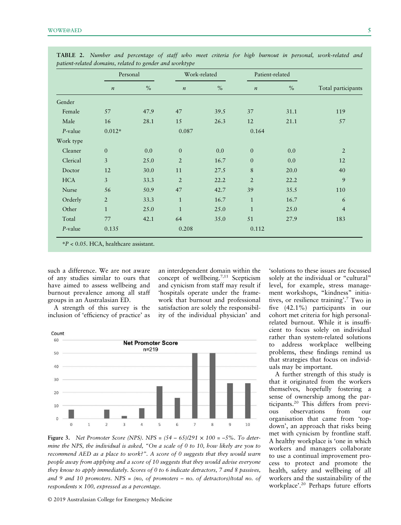|            | Personal         |      | Work-related     |      | Patient-related  |      |                    |
|------------|------------------|------|------------------|------|------------------|------|--------------------|
|            | $\boldsymbol{n}$ | $\%$ | $\boldsymbol{n}$ | $\%$ | $\boldsymbol{n}$ | $\%$ | Total participants |
| Gender     |                  |      |                  |      |                  |      |                    |
| Female     | 57               | 47.9 | 47               | 39.5 | 37               | 31.1 | 119                |
| Male       | 16               | 28.1 | 15               | 26.3 | 12               | 21.1 | 57                 |
| $P$ -value | $0.012*$         |      | 0.087            |      | 0.164            |      |                    |
| Work type  |                  |      |                  |      |                  |      |                    |
| Cleaner    | $\mathbf{0}$     | 0.0  | $\boldsymbol{0}$ | 0.0  | $\mathbf{0}$     | 0.0  | $\overline{2}$     |
| Clerical   | 3                | 25.0 | $\overline{2}$   | 16.7 | $\overline{0}$   | 0.0  | 12                 |
| Doctor     | 12               | 30.0 | 11               | 27.5 | 8                | 20.0 | 40                 |
| <b>HCA</b> | 3                | 33.3 | $\overline{2}$   | 22.2 | $\overline{2}$   | 22.2 | 9                  |
| Nurse      | 56               | 50.9 | 47               | 42.7 | 39               | 35.5 | 110                |
| Orderly    | $\overline{2}$   | 33.3 | $\mathbf{1}$     | 16.7 | $\mathbf{1}$     | 16.7 | 6                  |
| Other      | $\mathbf{1}$     | 25.0 | $\mathbf{1}$     | 25.0 | $\mathbf{1}$     | 25.0 | $\overline{4}$     |
| Total      | 77               | 42.1 | 64               | 35.0 | 51               | 27.9 | 183                |
| $P$ -value | 0.135            |      | 0.208            |      | 0.112            |      |                    |

TABLE 2. Number and percentage of staff who meet criteria for high burnout in personal, work-related and patient-related domains, related to gender and worktype

such a difference. We are not aware of any studies similar to ours that have aimed to assess wellbeing and burnout prevalence among all staff groups in an Australasian ED.

A strength of this survey is the inclusion of 'efficiency of practice' as an interdependent domain within the concept of wellbeing.7,11 Scepticism and cynicism from staff may result if 'hospitals operate under the framework that burnout and professional satisfaction are solely the responsibility of the individual physician' and



Figure 3. Net Promoter Score (NPS). NPS =  $(54 - 65)/291 \times 100 = -5\%$ . To determine the NPS, the individual is asked, "On a scale of 0 to 10, how likely are you to recommend AED as a place to work?". A score of 0 suggests that they would warn people away from applying and a score of 10 suggests that they would advise everyone they know to apply immediately. Scores of 0 to 6 indicate detractors, 7 and 8 passives, and 9 and 10 promoters. NPS = (no, of promoters – no. of detractors)/total no. of respondents  $\times$  100, expressed as a percentage.

'solutions to these issues are focussed solely at the individual or "cultural" level, for example, stress management workshops, "kindness" initiatives, or resilience training'. <sup>7</sup> Two in five (42.1%) participants in our cohort met criteria for high personalrelated burnout. While it is insufficient to focus solely on individual rather than system-related solutions to address workplace wellbeing problems, these findings remind us that strategies that focus on individuals may be important.

A further strength of this study is that it originated from the workers themselves, hopefully fostering a sense of ownership among the participants.20 This differs from previous observations from our organisation that came from 'topdown', an approach that risks being met with cynicism by frontline staff. A healthy workplace is 'one in which workers and managers collaborate to use a continual improvement process to protect and promote the health, safety and wellbeing of all workers and the sustainability of the workplace'. <sup>20</sup> Perhaps future efforts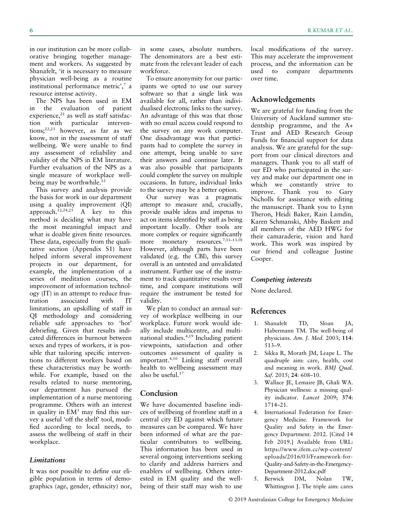in our institution can be more collaborative bringing together management and workers. As suggested by Shanafelt, 'it is necessary to measure physician well-being as a routine institutional performance metric', <sup>7</sup> a resource intense activity.

The NPS has been used in EM in the evaluation of patient experience, $21$  as well as staff satisfac-<br>tion with particular intervenwith particular interventions;<sup>22,23</sup> however, as far as we know, not in the assessment of staff wellbeing. We were unable to find any assessment of reliability and validity of the NPS in EM literature. Further evaluation of the NPS as a single measure of workplace wellbeing may be worthwhile.<sup>12</sup>

This survey and analysis provide the basis for work in our department using a quality improvement (QI) approach.<sup>12,24,25</sup> A key to this method is deciding what may have the most meaningful impact and what is doable given finite resources. These data, especially from the qualitative section (Appendix S1) have helped inform several improvement projects in our department, for example, the implementation of a series of meditation courses, the improvement of information technology (IT) in an attempt to reduce frustration associated with IT limitations, an upskilling of staff in QI methodology and considering reliable safe approaches to 'hot' debriefing. Given that results indicated differences in burnout between sexes and types of workers, it is possible that tailoring specific interventions to different workers based on these characteristics may be worthwhile. For example, based on the results related to nurse mentoring, our department has pursued the implementation of a nurse mentoring programme. Others with an interest in quality in  $EM<sup>3</sup>$  may find this survey a useful 'off the shelf' tool, modified according to local needs, to assess the wellbeing of staff in their workplace.

#### Limitations

It was not possible to define our eligible population in terms of demographics (age, gender, ethnicity) nor, in some cases, absolute numbers. The denominators are a best estimate from the relevant leader of each workforce.

To ensure anonymity for our participants we opted to use our survey software so that a single link was available for all, rather than individualised electronic links to the survey. An advantage of this was that those with no email access could respond to the survey on any work computer. One disadvantage was that participants had to complete the survey in one attempt, being unable to save their answers and continue later. It was also possible that participants could complete the survey on multiple occasions. In future, individual links to the survey may be a better option.

Our survey was a pragmatic attempt to measure and, crucially, provide usable ideas and impetus to act on items identified by staff as being important locally. Other tools are more complex or require significantly more monetary resources.<sup>7,11–13,18</sup> However, although parts have been validated (e.g. the CBI), this survey overall is an untested and unvalidated instrument. Further use of the instrument to track quantitative results over time, and compare institutions will require the instrument be tested for validity.

We plan to conduct an annual survey of workplace wellbeing in our workplace. Future work would ideally include multicentre, and multinational studies.4,19 Including patient viewpoints, satisfaction and other outcomes assessment of quality is important.4,10 Linking staff overall health to wellbeing assessment may also be useful. $17$ 

#### Conclusion

We have documented baseline indices of wellbeing of frontline staff in a central city ED against which future measures can be compared. We have been informed of what are the particular contributors to wellbeing. This information has been used in several ongoing interventions seeking to clarify and address barriers and enablers of wellbeing. Others interested in EM quality and the wellbeing of their staff may wish to use local modifications of the survey. This may accelerate the improvement process, and the information can be used to compare departments over time.

### Acknowledgements

We are grateful for funding from the University of Auckland summer studentship programme, and the A+ Trust and AED Research Group Funds for financial support for data analysis. We are grateful for the support from our clinical directors and managers. Thank you to all staff of our ED who participated in the survey and make our department one in which we constantly strive to improve. Thank you to Gary Nicholls for assistance with editing the manuscript. Thank you to Lynn Theron, Heidi Baker, Rain Lamdin, Karen Schmanski, Abby Baskett and all members of the AED HWG for their camaraderie, vision and hard work. This work was inspired by our friend and colleague Justine Cooper.

#### Competing interests

None declared.

## References

- 1. Shanafelt TD, Sloan JA, Habermann TM. The well-being of physicians. Am. J. Med. 2003; 114: 513–9.
- 2. Sikka R, Morath JM, Leape L. The quadruple aim: care, health, cost and meaning in work. BMJ Qual. Saf. 2015; 24: 608–10.
- 3. Wallace JE, Lemaire JB, Ghali WA. Physician wellness: a missing quality indicator. Lancet 2009; 374: 1714–21.
- 4. International Federation for Emergency Medicine. Framework for Quality and Safety in the Emergency Department. 2012. [Cited 14 Feb 2019.] Available from URL: [https://www.ifem.cc/wp-content/](https://www.ifem.cc/wp-content/uploads/2016/03/Framework-for-Quality-and-Safety-in-the-Emergency-Department-2012.doc.pdf) [uploads/2016/03/Framework-for-](https://www.ifem.cc/wp-content/uploads/2016/03/Framework-for-Quality-and-Safety-in-the-Emergency-Department-2012.doc.pdf)[Quality-and-Safety-in-the-Emergency-](https://www.ifem.cc/wp-content/uploads/2016/03/Framework-for-Quality-and-Safety-in-the-Emergency-Department-2012.doc.pdf)[Department-2012.doc.pdf](https://www.ifem.cc/wp-content/uploads/2016/03/Framework-for-Quality-and-Safety-in-the-Emergency-Department-2012.doc.pdf)
- 5. Berwick DM, Nolan TW, Whittington J. The triple aim: cares